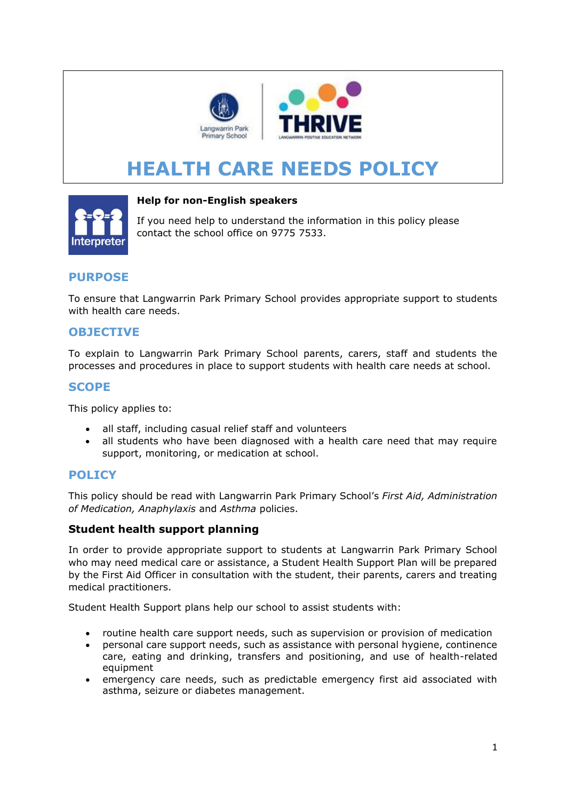

# **HEALTH CARE NEEDS POLICY**



#### **Help for non-English speakers**

If you need help to understand the information in this policy please contact the school office on 9775 7533.

# **PURPOSE**

To ensure that Langwarrin Park Primary School provides appropriate support to students with health care needs.

## **OBJECTIVE**

To explain to Langwarrin Park Primary School parents, carers, staff and students the processes and procedures in place to support students with health care needs at school.

## **SCOPE**

This policy applies to:

- all staff, including casual relief staff and volunteers
- all students who have been diagnosed with a health care need that may require support, monitoring, or medication at school.

### **POLICY**

This policy should be read with Langwarrin Park Primary School's *First Aid, Administration of Medication, Anaphylaxis* and *Asthma* policies.

### **Student health support planning**

In order to provide appropriate support to students at Langwarrin Park Primary School who may need medical care or assistance, a Student Health Support Plan will be prepared by the First Aid Officer in consultation with the student, their parents, carers and treating medical practitioners.

Student Health Support plans help our school to assist students with:

- routine health care support needs, such as supervision or provision of medication
- personal care support needs, such as assistance with personal hygiene, continence care, eating and drinking, transfers and positioning, and use of health-related equipment
- emergency care needs, such as predictable emergency first aid associated with asthma, seizure or diabetes management.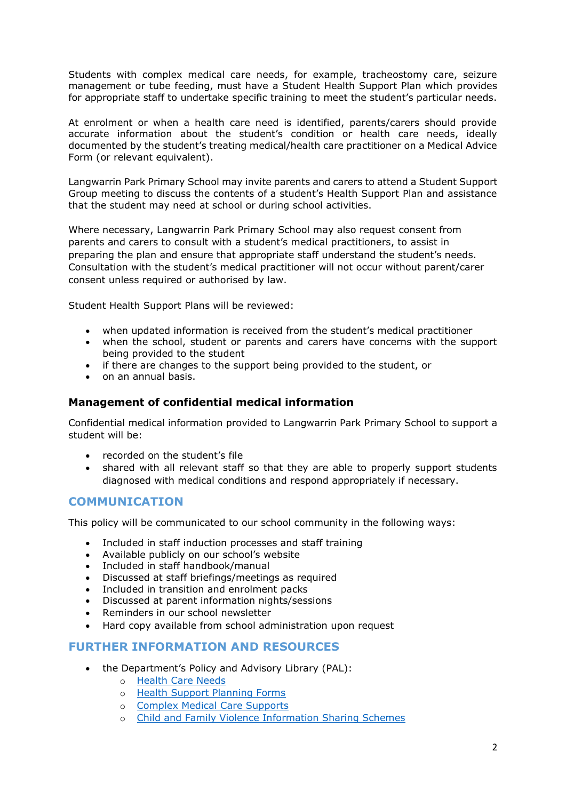Students with complex medical care needs, for example, tracheostomy care, seizure management or tube feeding, must have a Student Health Support Plan which provides for appropriate staff to undertake specific training to meet the student's particular needs.

At enrolment or when a health care need is identified, parents/carers should provide accurate information about the student's condition or health care needs, ideally documented by the student's treating medical/health care practitioner on a Medical Advice Form (or relevant equivalent).

Langwarrin Park Primary School may invite parents and carers to attend a Student Support Group meeting to discuss the contents of a student's Health Support Plan and assistance that the student may need at school or during school activities.

Where necessary, Langwarrin Park Primary School may also request consent from parents and carers to consult with a student's medical practitioners, to assist in preparing the plan and ensure that appropriate staff understand the student's needs. Consultation with the student's medical practitioner will not occur without parent/carer consent unless required or authorised by law.

Student Health Support Plans will be reviewed:

- when updated information is received from the student's medical practitioner
- when the school, student or parents and carers have concerns with the support being provided to the student
- if there are changes to the support being provided to the student, or
- on an annual basis.

#### **Management of confidential medical information**

Confidential medical information provided to Langwarrin Park Primary School to support a student will be:

- recorded on the student's file
- shared with all relevant staff so that they are able to properly support students diagnosed with medical conditions and respond appropriately if necessary.

### **COMMUNICATION**

This policy will be communicated to our school community in the following ways:

- Included in staff induction processes and staff training
- Available publicly on our school's website
- Included in staff handbook/manual
- Discussed at staff briefings/meetings as required
- Included in transition and enrolment packs
- Discussed at parent information nights/sessions
- Reminders in our school newsletter
- Hard copy available from school administration upon request

#### **FURTHER INFORMATION AND RESOURCES**

- the Department's Policy and Advisory Library (PAL):
	- o [Health Care Needs](https://www2.education.vic.gov.au/pal/health-care-needs/policy)
	- o [Health Support Planning Forms](https://www2.education.vic.gov.au/pal/health-care-needs/resources)
	- o [Complex Medical Care Supports](https://www2.education.vic.gov.au/pal/health-care-needs/guidance/complex-medical-care-supports)
	- o [Child and Family Violence Information Sharing Schemes](https://www2.education.vic.gov.au/pal/information-sharing-schemes/policy)